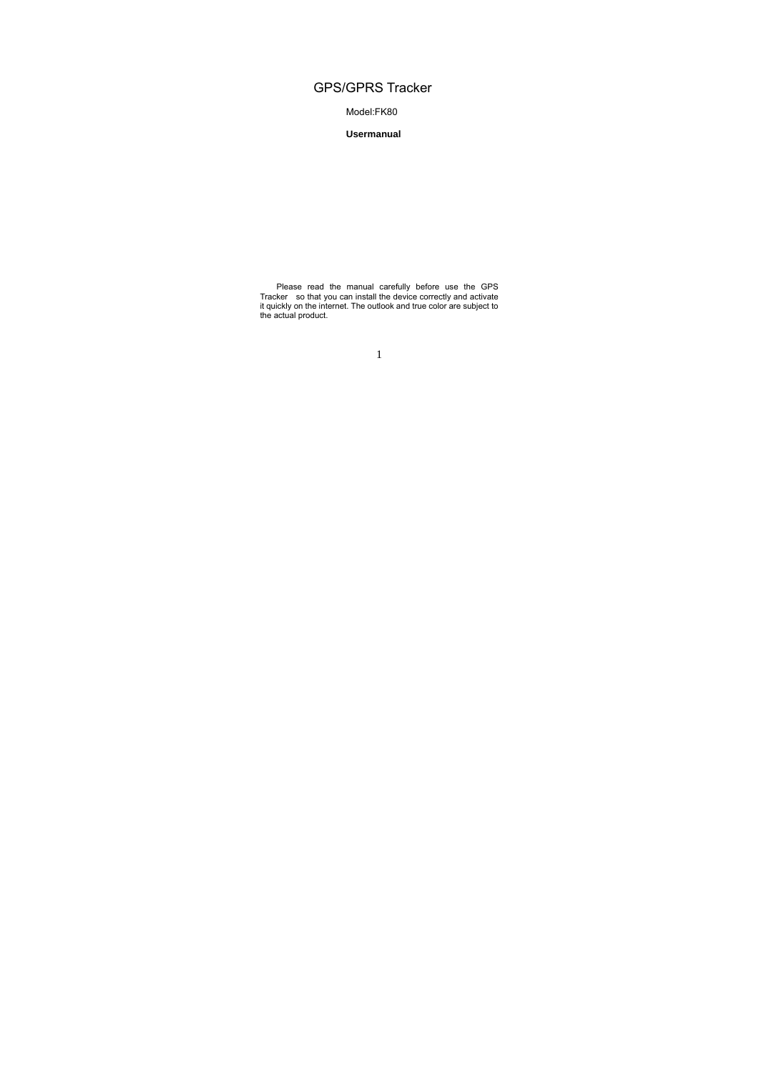# GPS/GPRS Tracker

Model:FK80

**Usermanual** 

Please read the manual carefully before use the GPS Tracker so that you can install the device correctly and activate it quickly on the internet. The outlook and true color are subject to the actual product.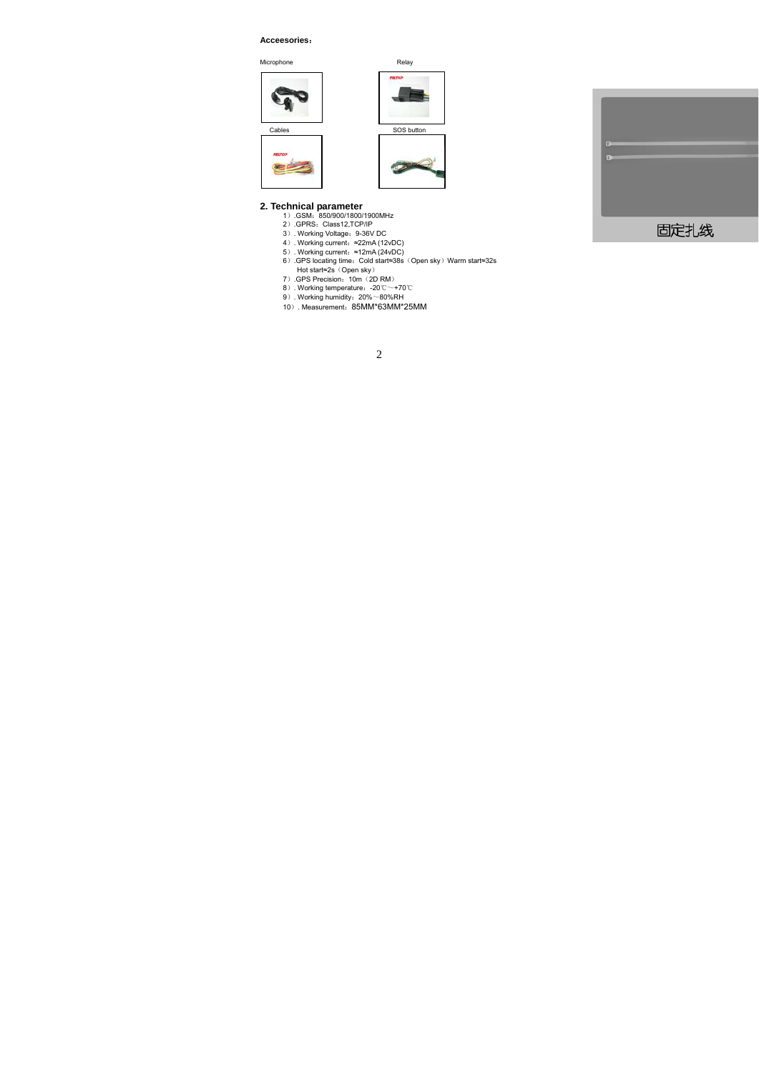### **Acceesories**:

Microphone *Relay* 





- 
- 
- 
- 
- **2. Technical parameter**<br>
1) .GSM: 850900/1800/1900MHz<br>
2) .GPRS: Class12,TCP/IP<br>
3) .Working Voltage: 9-36V DC<br>
4) .Working current:  $\approx$ 22mA (12vDC)<br>
5) .Working current:  $\approx$ 12mA (24vDC)<br>
6) .GPS locating time: Cold st
	-
	-
	-
	- -

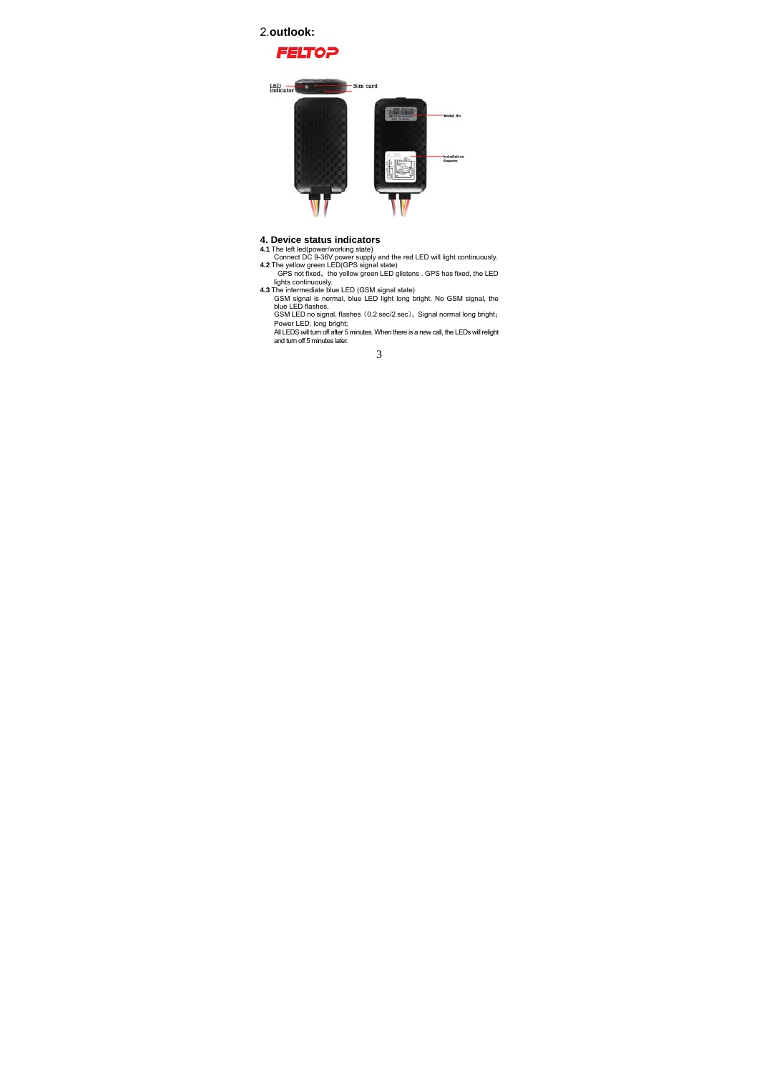# 2.**outlook:**





- 
- 
- **4. Device status indicators**<br> **4.1 The left led(nower/working state)**<br>
Connect DC 9-36V power supply and the red LED will light continuously.<br> **4.2** The yellow green LED(GPS signal state)<br>
GPS not fixed, the yellow green

Power LED: long bright; All LEDS will turn off after 5 minutes. When there is a new call, the LEDs will relight and turn off 5 minutes later.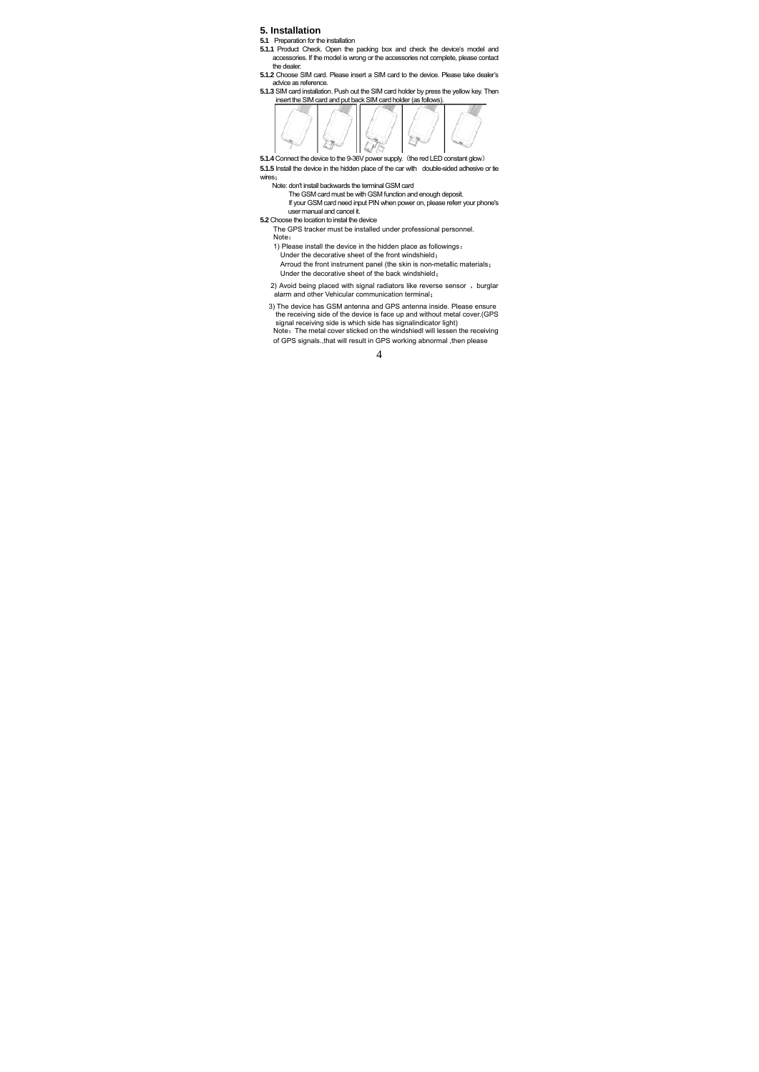### **5. Installation**

- **5.1.** Preparation for the installation<br>**5.1.1** Product Check. Open the packing box and check the device's model and<br>accessories. If the model is wrong or the accessories not complete, please contact the dealer.
- **5.1.2** Choose SIM card. Please insert a SIM card to the device. Please take dealer's advice as reference.
- **5.1.3** SIM card installation. Push out the SIM card holder by press the yellow key. Then insert the SIM card and put back SIM card holder (as follows).



5.1.4 Connect the device to the 9-36V power supply. (the red LED constant glow)<br>5.1.5 Install the device in the hidden place of the car with double-sided adhesive or tie wires:

Note: don't install backwards the terminal GSM card<br>The GSM card must be with GSM function and enough deposit.<br>If your GSM card need input PIN when power on, please referr your phone's<br>user manual and cancel it.

**5.2** Choose the location to instal the device

- The GPS tracker must be installed under professional personnel. Note:
- 1) Please install the device in the hidden place as followings:
- Under the decorative sheet of the front windshield; Arroud the front instrument panel (the skin is non-metallic materials;
- Under the decorative sheet of the back windshield;
- 2) Avoid being placed with signal radiators like reverse sensor 、burglar alarm and other Vehicular communication terminal;
- 3) The device has GSM antenna and GPS antenna inside. Please ensure<br>the receiving side of the device is face up and without metal cover.(GPS<br>signal receiving side is which side has signal<br>indicator light)<br>Note: The metal c
- of GPS signals.,that will result in GPS working abnormal ,then please

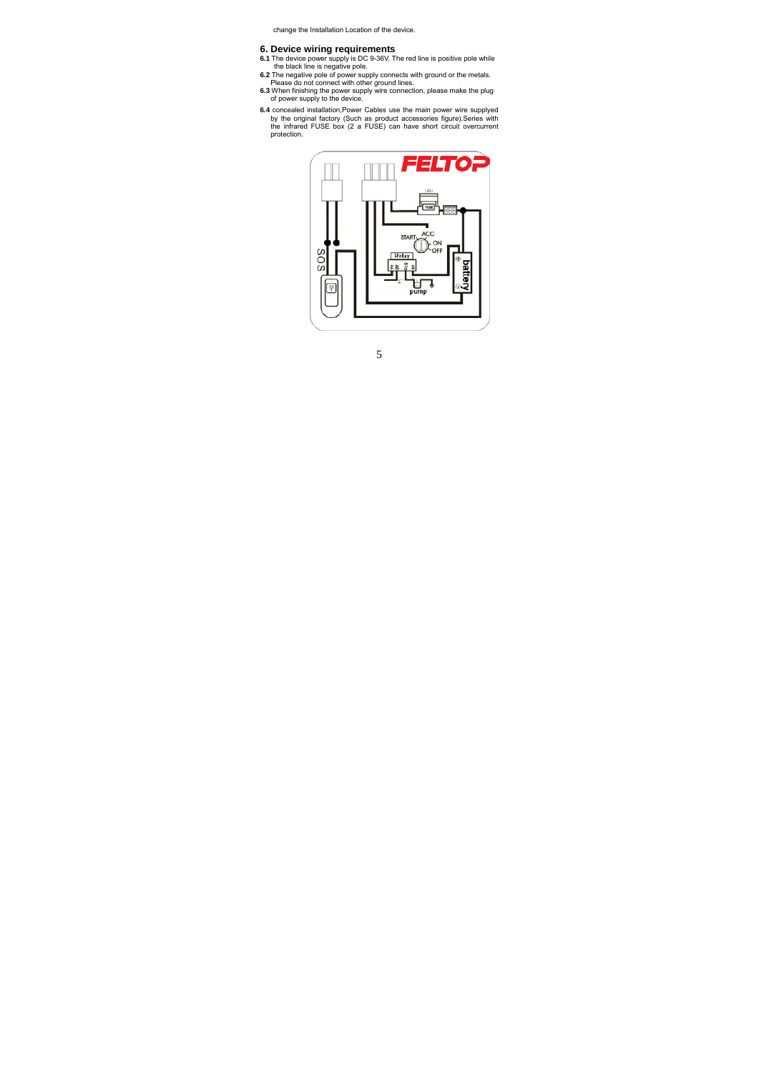change the Installation Location of the device.

- 
- 
- **6. Device wiring requirements**<br> **6.1** The device power supply is DC 9-36V. The red line is positive pole while<br>
the black line is negative pole.<br> **6.2** The negative pole of power supply connects with ground or the metals.
- **6.4** concealed installation,Power Cables use the main power wire supplyed by the original factory (Such as product accessories figure),Series with the infrared FUSE box (2 a FUSE) can have short circuit overcurrent protection.

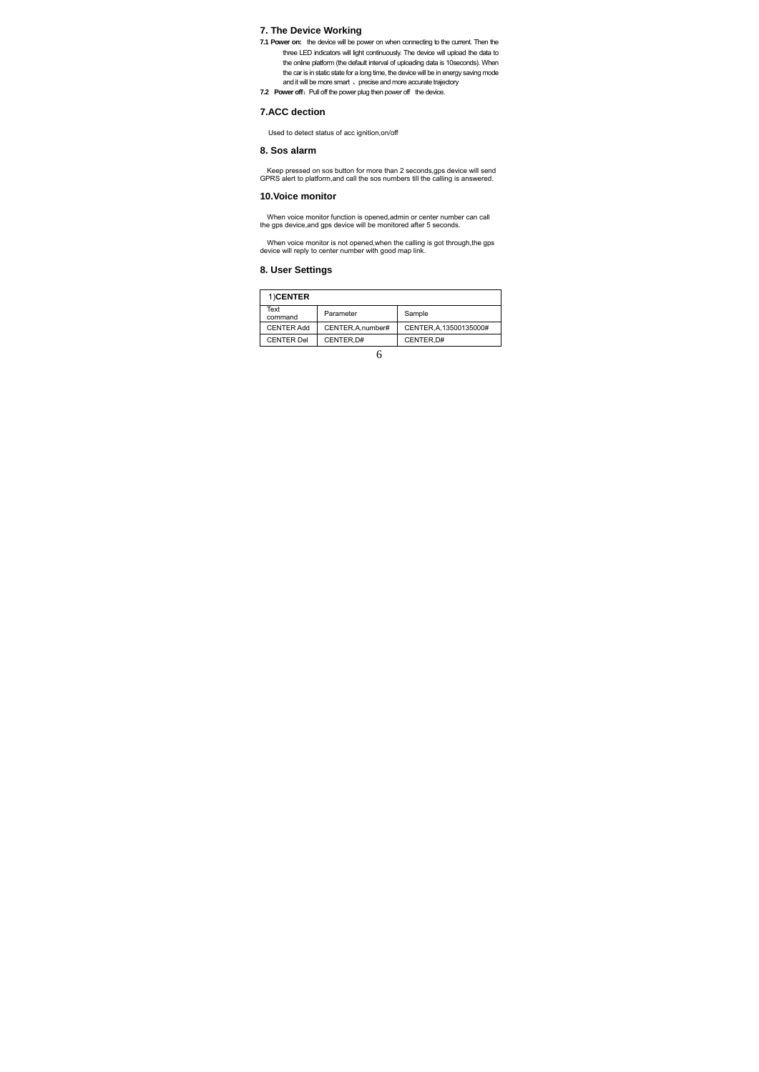# **7. The Device Working**

- **7.1 Power on:** the device will be power on when connecting to the current. Then the three LED indicators will light continuously. The device will upload the data to the online platform (the default interval of uploading data is 10seconds). When the car is in static state for a long time, the device will be in energy saving mode<br>and it will be more smart 、 precise and more accurate trajectory<br>T.2 Power off : Pull off the power plug then power off the device.
- 

## **7.ACC dection**

Used to detect status of acc ignition,on/off

## **8. Sos alarm**

Keep pressed on sos button for more than 2 seconds,gps device will send GPRS alert to platform,and call the sos numbers till the calling is answered.

# **10.Voice monitor**

When voice monitor function is opened,admin or center number can call the gps device,and gps device will be monitored after 5 seconds.

When voice monitor is not opened,when the calling is got through,the gps device will reply to center number with good map link.

## **8. User Settings**

| 1)CENTER          |                    |                         |
|-------------------|--------------------|-------------------------|
| Text<br>command   | Parameter          | Sample                  |
| <b>CENTER Add</b> | CENTER, A, number# | CENTER, A, 13500135000# |
| <b>CENTER Del</b> | CENTER.D#          | CENTER.D#               |
|                   |                    |                         |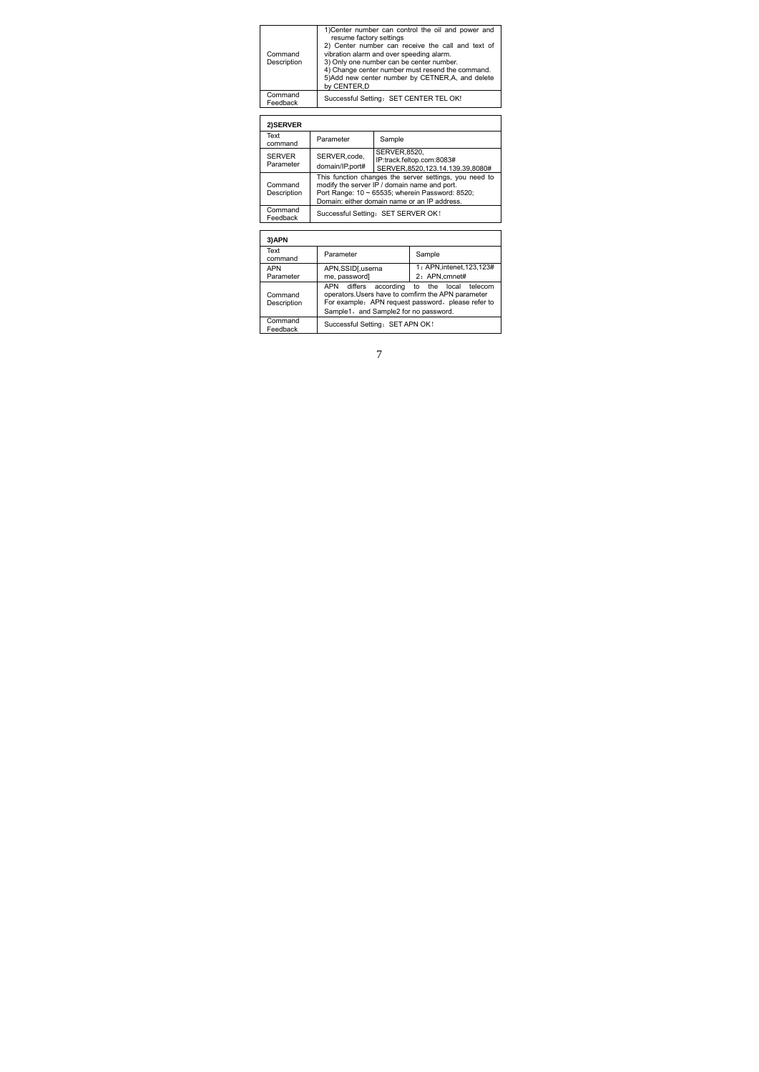| Command<br>Description | 1)Center number can control the oil and power and<br>resume factory settings<br>2) Center number can receive the call and text of<br>vibration alarm and over speeding alarm.<br>3) Only one number can be center number.<br>4) Change center number must resend the command.<br>5)Add new center number by CETNER,A, and delete<br>by CENTER.D |
|------------------------|-------------------------------------------------------------------------------------------------------------------------------------------------------------------------------------------------------------------------------------------------------------------------------------------------------------------------------------------------|
| Command<br>Feedback    | Successful Setting: SET CENTER TEL OK!                                                                                                                                                                                                                                                                                                          |

### **2)SERVER**

| ----------                 |                                                                                                                                                                                                           |                                                                                     |
|----------------------------|-----------------------------------------------------------------------------------------------------------------------------------------------------------------------------------------------------------|-------------------------------------------------------------------------------------|
| Text<br>command            | Parameter                                                                                                                                                                                                 | Sample                                                                              |
| <b>SERVER</b><br>Parameter | SERVER.code.<br>domain/IP,port#                                                                                                                                                                           | <b>SERVER.8520.</b><br>IP:track.feltop.com:8083#<br>SERVER.8520.123.14.139.39.8080# |
| Command<br>Description     | This function changes the server settings, you need to<br>modify the server IP / domain name and port.<br>Port Range: 10 ~ 65535; wherein Password: 8520;<br>Domain: either domain name or an IP address. |                                                                                     |
| Command<br>Feedback        |                                                                                                                                                                                                           | Successful Setting: SET SERVER OK!                                                  |

| 3)APN                   |                                                                                                            |                                                                                         |
|-------------------------|------------------------------------------------------------------------------------------------------------|-----------------------------------------------------------------------------------------|
| Text<br>command         | Parameter                                                                                                  | Sample                                                                                  |
| <b>APN</b><br>Parameter | APN,SSID[,userna<br>me, password]                                                                          | 1: APN.intenet.123.123#<br>2: APN.cmnet#                                                |
| Command<br>Description  | APN differs<br>operators. Users have to comfirm the APN parameter<br>Sample1, and Sample2 for no password. | according to the local<br>telecom<br>For example: APN request password, please refer to |
| Command<br>Feedback     | Successful Setting: SET APN OK!                                                                            |                                                                                         |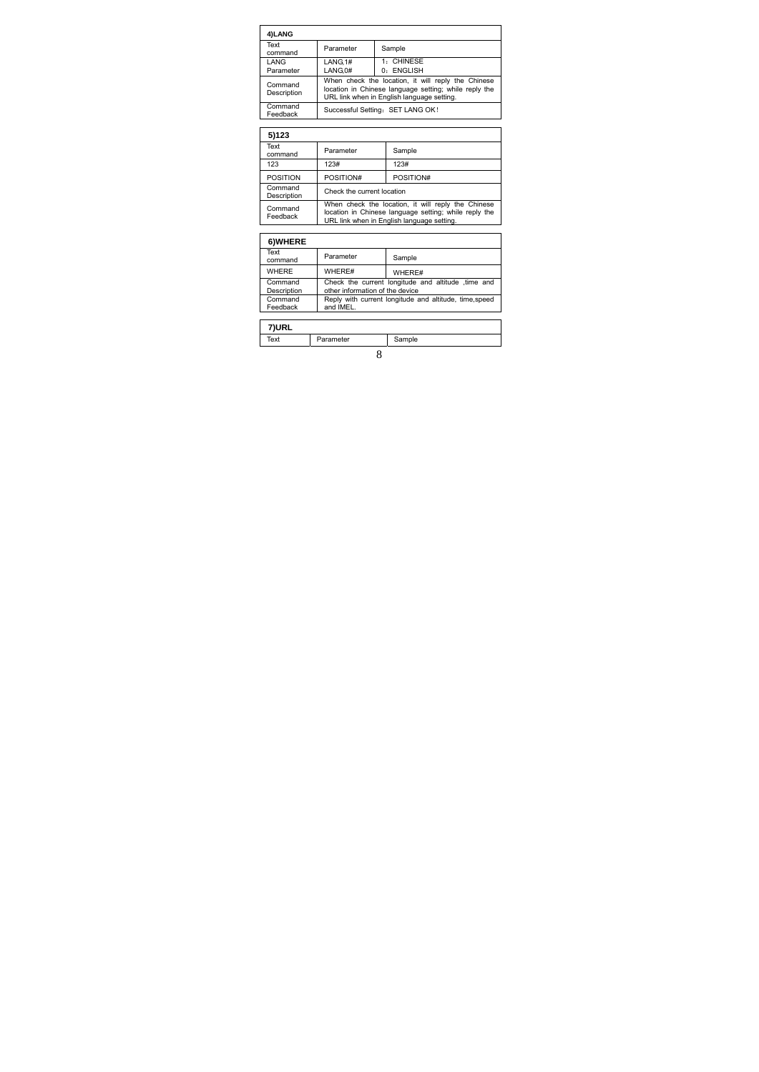| 4)LANG                 |                                                                                                                                                           |                          |
|------------------------|-----------------------------------------------------------------------------------------------------------------------------------------------------------|--------------------------|
| Text<br>command        | Parameter                                                                                                                                                 | Sample                   |
| LANG<br>Parameter      | LANG.1#<br>LANG.0#                                                                                                                                        | 1: CHINESE<br>0: ENGLISH |
| Command<br>Description | When check the location, it will reply the Chinese<br>location in Chinese language setting; while reply the<br>URL link when in English language setting. |                          |
| Command<br>Feedback    | Successful Setting: SET LANG OK!                                                                                                                          |                          |

| 5)123                  |                                                                                                                                                           |           |
|------------------------|-----------------------------------------------------------------------------------------------------------------------------------------------------------|-----------|
| Text<br>command        | Parameter                                                                                                                                                 | Sample    |
| 123                    | 123#                                                                                                                                                      | 123#      |
| <b>POSITION</b>        | POSITION#                                                                                                                                                 | POSITION# |
| Command<br>Description | Check the current location                                                                                                                                |           |
| Command<br>Feedback    | When check the location, it will reply the Chinese<br>location in Chinese language setting; while reply the<br>URL link when in English language setting. |           |
|                        |                                                                                                                                                           |           |

| 6)WHERE                |                                 |                                                        |
|------------------------|---------------------------------|--------------------------------------------------------|
| Text<br>command        | Parameter                       | Sample                                                 |
| <b>WHERE</b>           | WHERE#                          | WHERE#                                                 |
| Command<br>Description | other information of the device | Check the current longitude and altitude time and      |
| Command<br>Feedback    | and IMEL.                       | Reply with current longitude and altitude, time, speed |
|                        |                                 |                                                        |
|                        |                                 |                                                        |

| 7)URL |           |        |
|-------|-----------|--------|
| Text  | Parameter | Sample |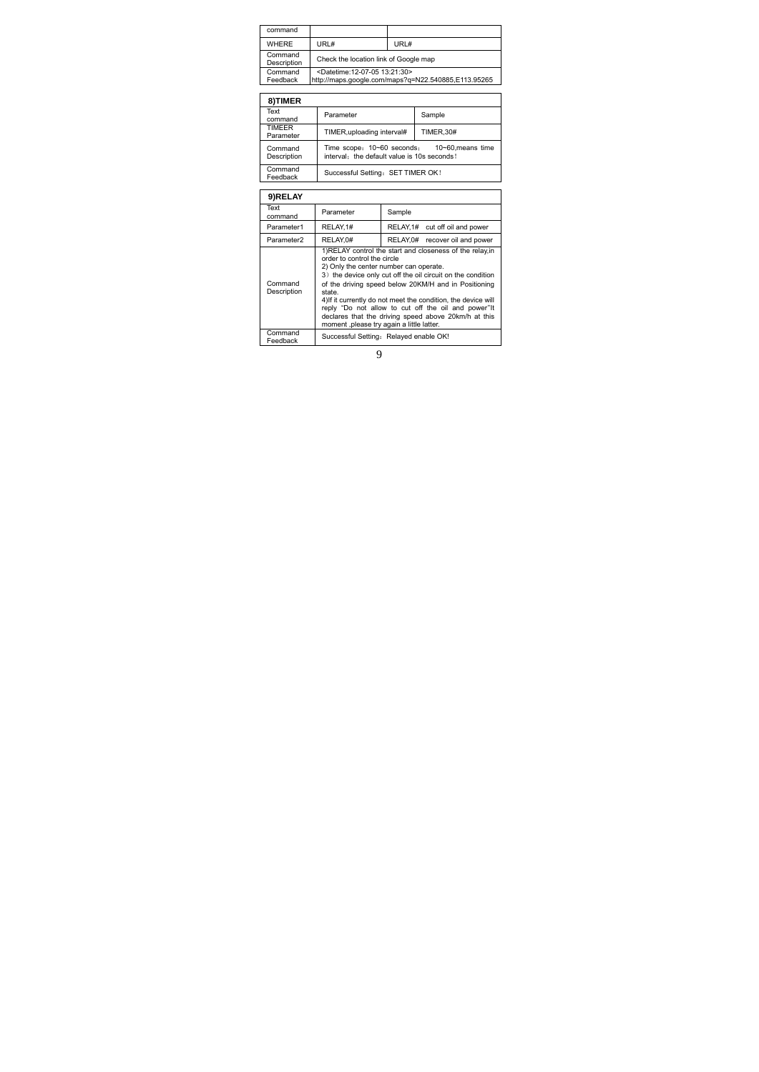| command                    |                                                                                                                                                                                                               |                                                                                            |                                                     |  |
|----------------------------|---------------------------------------------------------------------------------------------------------------------------------------------------------------------------------------------------------------|--------------------------------------------------------------------------------------------|-----------------------------------------------------|--|
| <b>WHERE</b>               | URL#                                                                                                                                                                                                          | URL#                                                                                       |                                                     |  |
| Command<br>Description     |                                                                                                                                                                                                               | Check the location link of Google map                                                      |                                                     |  |
| Command<br>Feedback        | <datetime:12-07-05 13:21:30=""></datetime:12-07-05>                                                                                                                                                           |                                                                                            | http://maps.google.com/maps?q=N22.540885,E113.95265 |  |
|                            |                                                                                                                                                                                                               |                                                                                            |                                                     |  |
| 8)TIMER                    |                                                                                                                                                                                                               |                                                                                            |                                                     |  |
| Text<br>command            | Parameter                                                                                                                                                                                                     | Sample                                                                                     |                                                     |  |
| <b>TIMEER</b><br>Parameter |                                                                                                                                                                                                               | <b>TIMER.30#</b><br>TIMER, uploading interval#                                             |                                                     |  |
| Command<br>Description     |                                                                                                                                                                                                               | Time scope: 10~60 seconds: 10~60 means time<br>interval: the default value is 10s seconds! |                                                     |  |
| Command<br>Feedback        |                                                                                                                                                                                                               | Successful Setting: SET TIMER OK!                                                          |                                                     |  |
|                            |                                                                                                                                                                                                               |                                                                                            |                                                     |  |
| 9)RELAY                    |                                                                                                                                                                                                               |                                                                                            |                                                     |  |
| Text<br>command            | Parameter                                                                                                                                                                                                     | Sample                                                                                     |                                                     |  |
| Parameter1                 | RELAY.1#                                                                                                                                                                                                      | RELAY.1#<br>cut off oil and power                                                          |                                                     |  |
| Parameter <sub>2</sub>     | RELAY.0#                                                                                                                                                                                                      | RELAY, 0#                                                                                  | recover oil and power                               |  |
|                            | 1)RELAY control the start and closeness of the relay, in<br>order to control the circle<br>2) Only the center number can operate.<br>0 V die staatse sektore offisier in die bestieden die stelle van die bes |                                                                                            |                                                     |  |

2) Only the center number can operate.<br>3) the device only cut of the oil circuit on the condition<br>of the driving speed below 20KM/H and in Positioning<br>state.<br>4) if it currently do not meet the condition, the device will<br>4)

Command<br>Feedback Successful Setting: Relayed enable OK!

Command Description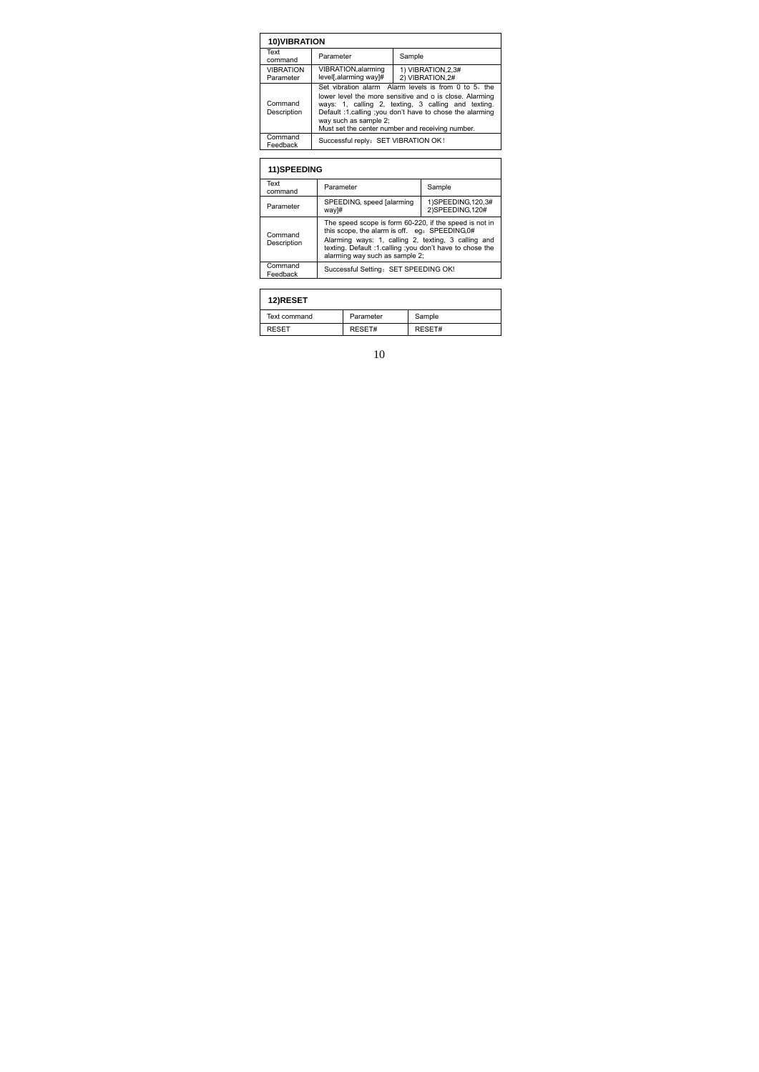| <b>10) VIBRATION</b>          |                                                                                                                                                                                                                                                                                                                 |                                      |
|-------------------------------|-----------------------------------------------------------------------------------------------------------------------------------------------------------------------------------------------------------------------------------------------------------------------------------------------------------------|--------------------------------------|
| Text<br>command               | Parameter                                                                                                                                                                                                                                                                                                       | Sample                               |
| <b>VIBRATION</b><br>Parameter | VIBRATION, alarming<br>level[,alarming way]#                                                                                                                                                                                                                                                                    | 1) VIBRATION.2.3#<br>2) VIBRATION.2# |
| Command<br>Description        | Set vibration alarm Alarm levels is from 0 to 5, the<br>lower level the more sensitive and o is close. Alarming<br>ways: 1, calling 2, texting, 3 calling and texting.<br>Default :1.calling ;you don't have to chose the alarming<br>way such as sample 2;<br>Must set the center number and receiving number. |                                      |
| Command<br>Feedback           | Successful reply: SET VIBRATION OK!                                                                                                                                                                                                                                                                             |                                      |

| <b>11)SPEEDING</b>     |                                                                                                                                                                                                                                                               |                                           |
|------------------------|---------------------------------------------------------------------------------------------------------------------------------------------------------------------------------------------------------------------------------------------------------------|-------------------------------------------|
| Text<br>command        | Parameter                                                                                                                                                                                                                                                     | Sample                                    |
| Parameter              | SPEEDING, speed [alarming]<br>way]#                                                                                                                                                                                                                           | 1) SPEEDING, 120, 3#<br>2) SPEEDING, 120# |
| Command<br>Description | The speed scope is form 60-220, if the speed is not in<br>this scope, the alarm is off. eq. SPEEDING, 0#<br>Alarming ways: 1, calling 2, texting, 3 calling and<br>texting. Default :1.calling :you don't have to chose the<br>alarming way such as sample 2: |                                           |
| Command<br>Feedback    | Successful Setting: SET SPEEDING OK!                                                                                                                                                                                                                          |                                           |

| 12)RESET     |           |        |
|--------------|-----------|--------|
| Text command | Parameter | Sample |
| <b>RESET</b> | RESET#    | RESET# |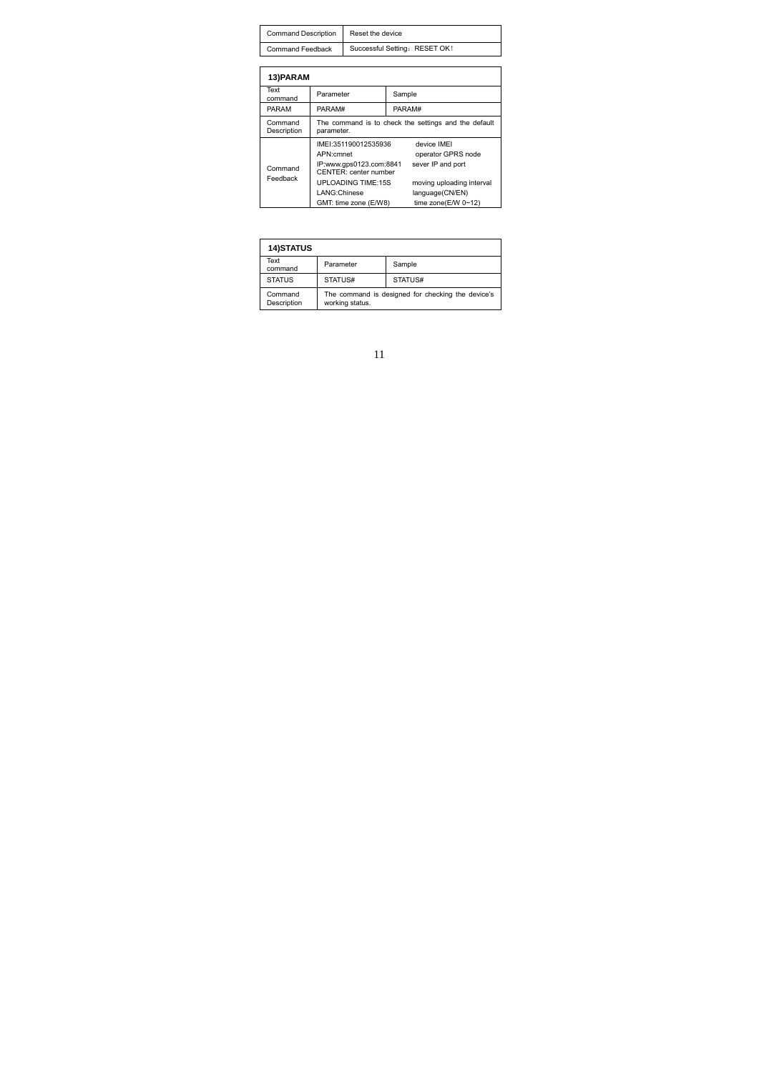| Command Description Reset the device |                                                |
|--------------------------------------|------------------------------------------------|
|                                      | Command Feedback Successful Setting: RESET OK! |

| 13) PARAM              |                                                                                       |                                                        |  |  |
|------------------------|---------------------------------------------------------------------------------------|--------------------------------------------------------|--|--|
| Text<br>command        | Parameter                                                                             | Sample                                                 |  |  |
| <b>PARAM</b>           | PARAM#                                                                                | PARAM#                                                 |  |  |
| Command<br>Description | The command is to check the settings and the default<br>parameter.                    |                                                        |  |  |
| Command<br>Feedback    | IMEI:351190012535936<br>APN:cmnet<br>IP:www.gps0123.com:8841<br>CENTER: center number | device IMEI<br>operator GPRS node<br>sever IP and port |  |  |
|                        | <b>UPLOADING TIME:15S</b><br>LANG:Chinese                                             | moving uploading interval<br>language(CN/EN)           |  |  |
|                        | GMT: time zone (E/W8)                                                                 | time zone(E/W 0~12)                                    |  |  |

| <b>14)STATUS</b>       |                                                                      |         |  |
|------------------------|----------------------------------------------------------------------|---------|--|
| Text<br>command        | Parameter                                                            | Sample  |  |
| <b>STATUS</b>          | STATUS#                                                              | STATUS# |  |
| Command<br>Description | The command is designed for checking the device's<br>working status. |         |  |

| 1<br>1 |  |
|--------|--|
|        |  |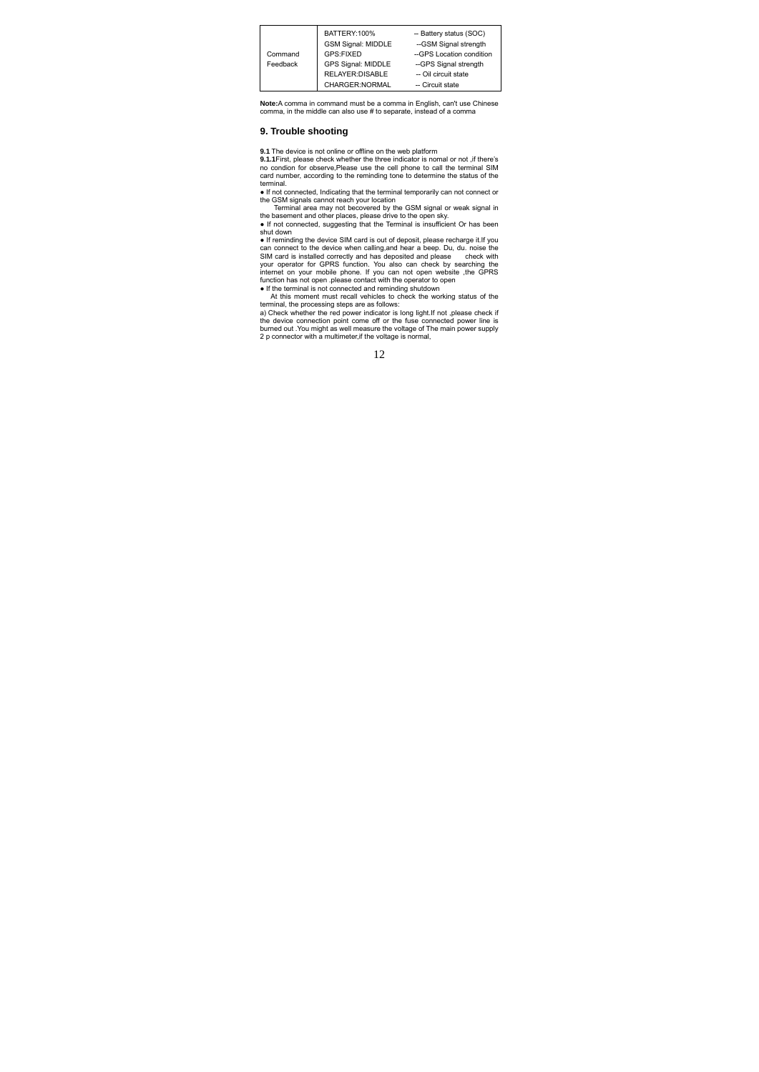

Note:A comma in command must be a comma in English, can't use Chinese comma, in the middle can also use # to separate, instead of a comma

### **9. Trouble shooting**

**9.1** The device is not online or offline on the web platform 9.1.1 First, please check whether the three indicator is nomal or not , if there's<br>no condion for observe, Please use the cell phone to call the terminal SIM<br>card number, according to the reminding tone to determine the st terminal.

• If not connected, Indicating that the terminal temporarily can not connect or<br>the GSM signals cannot reach your location<br>Terminal area may not becovered by the GSM signal or weak signal in<br>the basement and other places,

shut down ● If reminding the device SIM card is out of deposit, please recharge it.If you can connect to the device when calling, and hear a beep. Du, du. noise the SIM card is installed correctly and has deposited and please check with your operator for GPRS function. You also can check by searching the intern

• If the terminal is not connected and reminding shutdown<br>At this moment must recall vehicles to check the working status of the<br>terminal, the processing steps are as follows:<br>a) Check whether the red power indicator is lo